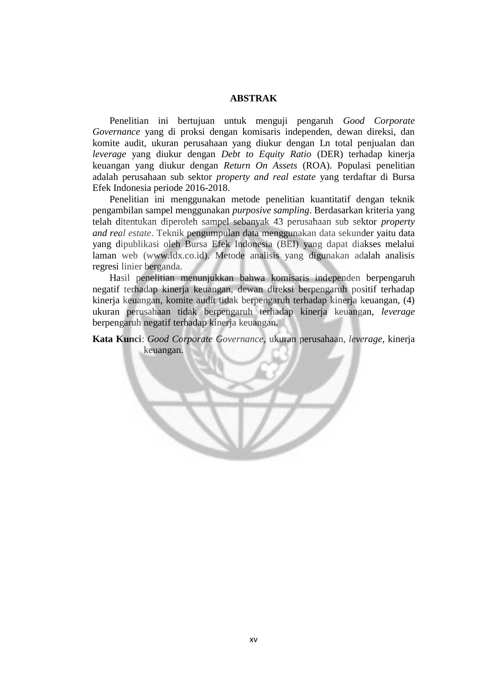## **ABSTRAK**

 Penelitian ini bertujuan untuk menguji pengaruh *Good Corporate Governance* yang di proksi dengan komisaris independen, dewan direksi, dan komite audit, ukuran perusahaan yang diukur dengan Ln total penjualan dan *leverage* yang diukur dengan *Debt to Equity Ratio* (DER) terhadap kinerja keuangan yang diukur dengan *Return On Assets* (ROA). Populasi penelitian adalah perusahaan sub sektor *property and real estate* yang terdaftar di Bursa Efek Indonesia periode 2016-2018.

 Penelitian ini menggunakan metode penelitian kuantitatif dengan teknik pengambilan sampel menggunakan *purposive sampling*. Berdasarkan kriteria yang telah ditentukan diperoleh sampel sebanyak 43 perusahaan sub sektor *property and real estate*. Teknik pengumpulan data menggunakan data sekunder yaitu data yang dipublikasi oleh Bursa Efek Indonesia (BEI) yang dapat diakses melalui laman web (www.idx.co.id). Metode analisis yang digunakan adalah analisis regresi linier berganda.

 Hasil penelitian menunjukkan bahwa komisaris independen berpengaruh negatif terhadap kinerja keuangan, dewan direksi berpengaruh positif terhadap kinerja keuangan, komite audit tidak berpengaruh terhadap kinerja keuangan, (4) ukuran perusahaan tidak berpengaruh terhadap kinerja keuangan, *leverage* berpengaruh negatif terhadap kinerja keuangan.

**Kata Kunci**: *Good Corporate Governance,* ukuran perusahaan, *leverage,* kinerja keuangan.